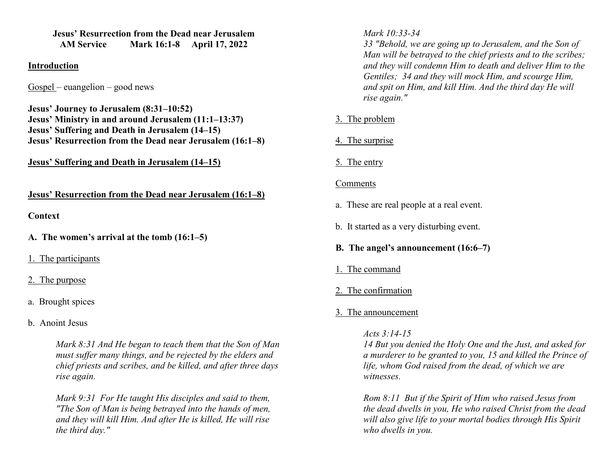**Jesus' Resurrection from the Dead near Jerusalem AM Service Mark 16:1-8 April 17, 2022** 

#### **Introduction**

Gospel – euangelion – good news

**Jesus' Journey to Jerusalem (8:31–10:52) Jesus' Ministry in and around Jerusalem (11:1–13:37) Jesus' Suffering and Death in Jerusalem (14–15) Jesus' Resurrection from the Dead near Jerusalem (16:1–8)** 

**Jesus' Suffering and Death in Jerusalem (14–15)** 

**Jesus' Resurrection from the Dead near Jerusalem (16:1–8)** 

#### **Context**

**A. The women's arrival at the tomb (16:1–5)** 

1. The participants

#### 2. The purpose

- a. Brought spices
- b. Anoint Jesus

*Mark 8:31 And He began to teach them that the Son of Man must suffer many things, and be rejected by the elders and chief priests and scribes, and be killed, and after three days rise again.* 

*Mark 9:31 For He taught His disciples and said to them, "The Son of Man is being betrayed into the hands of men, and they will kill Him. And after He is killed, He will rise the third day."* 

*Mark 10:33-34* 

 *33 "Behold, we are going up to Jerusalem, and the Son of Man will be betrayed to the chief priests and to the scribes; and they will condemn Him to death and deliver Him to the Gentiles; 34 and they will mock Him, and scourge Him, and spit on Him, and kill Him. And the third day He will rise again."* 

## 3. The problem

# 4. The surprise

5. The entry

### Comments

- a. These are real people at a real event.
- b. It started as a very disturbing event.
- **B. The angel's announcement (16:6–7)**
- 1. The command
- 2. The confirmation

# 3. The announcement

*Acts 3:14-15* 

*14 But you denied the Holy One and the Just, and asked for a murderer to be granted to you, 15 and killed the Prince oflife, whom God raised from the dead, of which we are witnesses.* 

*Rom 8:11 But if the Spirit of Him who raised Jesus from the dead dwells in you, He who raised Christ from the dead will also give life to your mortal bodies through His Spirit who dwells in you.*